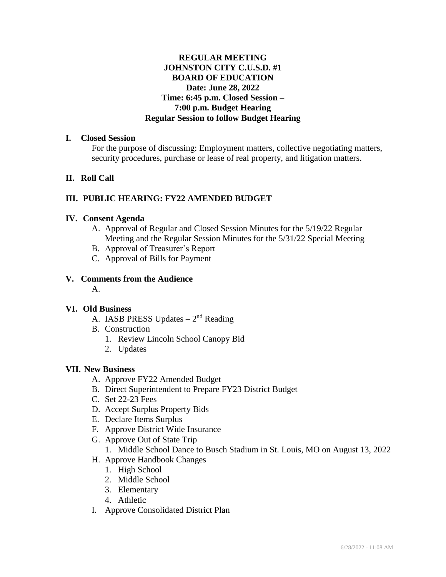# **REGULAR MEETING JOHNSTON CITY C.U.S.D. #1 BOARD OF EDUCATION Date: June 28, 2022 Time: 6:45 p.m. Closed Session – 7:00 p.m. Budget Hearing Regular Session to follow Budget Hearing**

#### **I. Closed Session**

For the purpose of discussing: Employment matters, collective negotiating matters, security procedures, purchase or lease of real property, and litigation matters.

# **II. Roll Call**

# **III. PUBLIC HEARING: FY22 AMENDED BUDGET**

#### **IV. Consent Agenda**

- A. Approval of Regular and Closed Session Minutes for the 5/19/22 Regular Meeting and the Regular Session Minutes for the 5/31/22 Special Meeting
- B. Approval of Treasurer's Report
- C. Approval of Bills for Payment

## **V. Comments from the Audience**

A.

## **VI. Old Business**

- A. IASB PRESS Updates  $-2<sup>nd</sup>$  Reading
- B. Construction
	- 1. Review Lincoln School Canopy Bid
	- 2. Updates

## **VII. New Business**

- A. Approve FY22 Amended Budget
- B. Direct Superintendent to Prepare FY23 District Budget
- C. Set 22-23 Fees
- D. Accept Surplus Property Bids
- E. Declare Items Surplus
- F. Approve District Wide Insurance
- G. Approve Out of State Trip
	- 1. Middle School Dance to Busch Stadium in St. Louis, MO on August 13, 2022
- H. Approve Handbook Changes
	- 1. High School
	- 2. Middle School
	- 3. Elementary
	- 4. Athletic
- I. Approve Consolidated District Plan